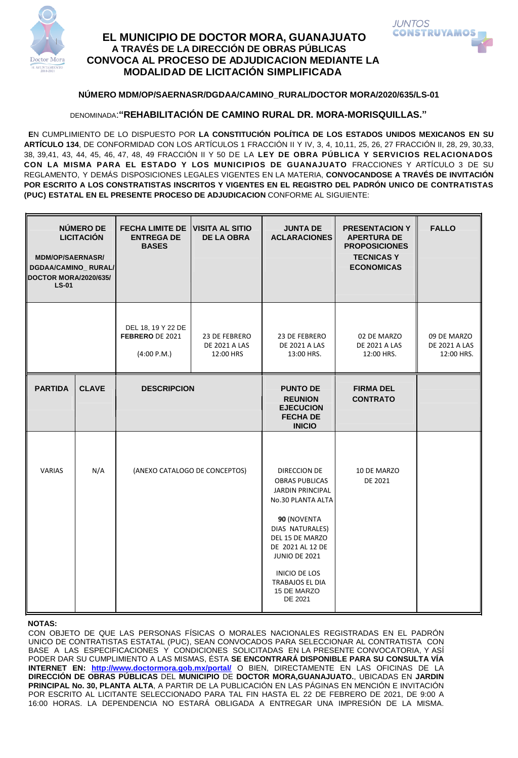

# **EL MUNICIPIO DE DOCTOR MORA, GUANAJUATO A TRAVÉS DE LA DIRECCIÓN DE OBRAS PÚBLICAS CONVOCA AL PROCESO DE ADJUDICACION MEDIANTE LA MODALIDAD DE LICITACIÓN SIMPLIFICADA**



### **NÚMERO MDM/OP/SAERNASR/DGDAA/CAMINO\_RURAL/DOCTOR MORA/2020/635/LS-01**

DENOMINADA:**"REHABILITACIÓN DE CAMINO RURAL DR. MORA-MORISQUILLAS."** 

 **E**N CUMPLIMIENTO DE LO DISPUESTO POR **LA CONSTITUCIÓN POLÍTICA DE LOS ESTADOS UNIDOS MEXICANOS EN SU ARTÍCULO 134**, DE CONFORMIDAD CON LOS ARTÍCULOS 1 FRACCIÓN II Y IV, 3, 4, 10,11, 25, 26, 27 FRACCIÓN II, 28, 29, 30,33, 38, 39,41, 43, 44, 45, 46, 47, 48, 49 FRACCIÓN II Y 50 DE LA **LEY DE OBRA PÚBLICA Y SERVICIOS RELACIONADOS CON LA MISMA PARA EL ESTADO Y LOS MUNICIPIOS DE GUANAJUATO** FRACCIONES Y ARTÍCULO 3 DE SU REGLAMENTO, Y DEMÁS DISPOSICIONES LEGALES VIGENTES EN LA MATERIA, **CONVOCANDOSE A TRAVÉS DE INVITACIÓN POR ESCRITO A LOS CONSTRATISTAS INSCRITOS Y VIGENTES EN EL REGISTRO DEL PADRÓN UNICO DE CONTRATISTAS (PUC) ESTATAL EN EL PRESENTE PROCESO DE ADJUDICACION** CONFORME AL SIGUIENTE:

| NÚMERO DE<br><b>LICITACIÓN</b><br><b>MDM/OP/SAERNASR/</b><br>DGDAA/CAMINO_RURAL/<br>DOCTOR MORA/2020/635/<br>$LS-01$ |              | <b>FECHA LIMITE DE</b><br><b>ENTREGA DE</b><br><b>BASES</b> | <b>VISITA AL SITIO</b><br><b>DE LA OBRA</b>        | <b>JUNTA DE</b><br><b>ACLARACIONES</b>                                                                                                                                                                                                                             | <b>PRESENTACION Y</b><br><b>APERTURA DE</b><br><b>PROPOSICIONES</b><br><b>TECNICASY</b><br><b>ECONOMICAS</b> | <b>FALLO</b>                                      |
|----------------------------------------------------------------------------------------------------------------------|--------------|-------------------------------------------------------------|----------------------------------------------------|--------------------------------------------------------------------------------------------------------------------------------------------------------------------------------------------------------------------------------------------------------------------|--------------------------------------------------------------------------------------------------------------|---------------------------------------------------|
|                                                                                                                      |              | DEL 18, 19 Y 22 DE<br>FEBRERO DE 2021<br>(4:00 P.M.)        | 23 DE FEBRERO<br><b>DE 2021 A LAS</b><br>12:00 HRS | 23 DE FEBRERO<br><b>DE 2021 A LAS</b><br>13:00 HRS.                                                                                                                                                                                                                | 02 DE MARZO<br><b>DE 2021 A LAS</b><br>12:00 HRS.                                                            | 09 DE MARZO<br><b>DE 2021 A LAS</b><br>12:00 HRS. |
| <b>PARTIDA</b>                                                                                                       | <b>CLAVE</b> | <b>DESCRIPCION</b>                                          |                                                    | <b>PUNTO DE</b><br><b>REUNION</b><br><b>EJECUCION</b><br><b>FECHA DE</b><br><b>INICIO</b>                                                                                                                                                                          | <b>FIRMA DEL</b><br><b>CONTRATO</b>                                                                          |                                                   |
| <b>VARIAS</b>                                                                                                        | N/A          | (ANEXO CATALOGO DE CONCEPTOS)                               |                                                    | DIRECCION DE<br><b>OBRAS PUBLICAS</b><br><b>JARDIN PRINCIPAL</b><br>No.30 PLANTA ALTA<br>90 (NOVENTA<br>DIAS NATURALES)<br>DEL 15 DE MARZO<br>DE 2021 AL 12 DE<br><b>JUNIO DE 2021</b><br><b>INICIO DE LOS</b><br><b>TRABAJOS EL DIA</b><br>15 DE MARZO<br>DE 2021 | 10 DE MARZO<br>DE 2021                                                                                       |                                                   |

#### **NOTAS:**

CON OBJETO DE QUE LAS PERSONAS FÍSICAS O MORALES NACIONALES REGISTRADAS EN EL PADRÓN UNICO DE CONTRATISTAS ESTATAL (PUC), SEAN CONVOCADOS PARA SELECCIONAR AL CONTRATISTA CON BASE A LAS ESPECIFICACIONES Y CONDICIONES SOLICITADAS EN LA PRESENTE CONVOCATORIA, Y ASÍ PODER DAR SU CUMPLIMIENTO A LAS MISMAS, ÉSTA **SE ENCONTRARÁ DISPONIBLE PARA SU CONSULTA VÍA INTERNET EN: <http://www.doctormora.gob.mx/portal/>** O BIEN, DIRECTAMENTE EN LAS OFICINAS DE LA **DIRECCIÓN DE OBRAS PÚBLICAS** DEL **MUNICIPIO** DE **DOCTOR MORA,GUANAJUATO.**, UBICADAS EN **JARDIN PRINCIPAL No. 30, PLANTA ALTA**, A PARTIR DE LA PUBLICACIÓN EN LAS PÁGINAS EN MENCIÓN E INVITACIÓN POR ESCRITO AL LICITANTE SELECCIONADO PARA TAL FIN HASTA EL 22 DE FEBRERO DE 2021, DE 9:00 A 16:00 HORAS. LA DEPENDENCIA NO ESTARÁ OBLIGADA A ENTREGAR UNA IMPRESIÓN DE LA MISMA.